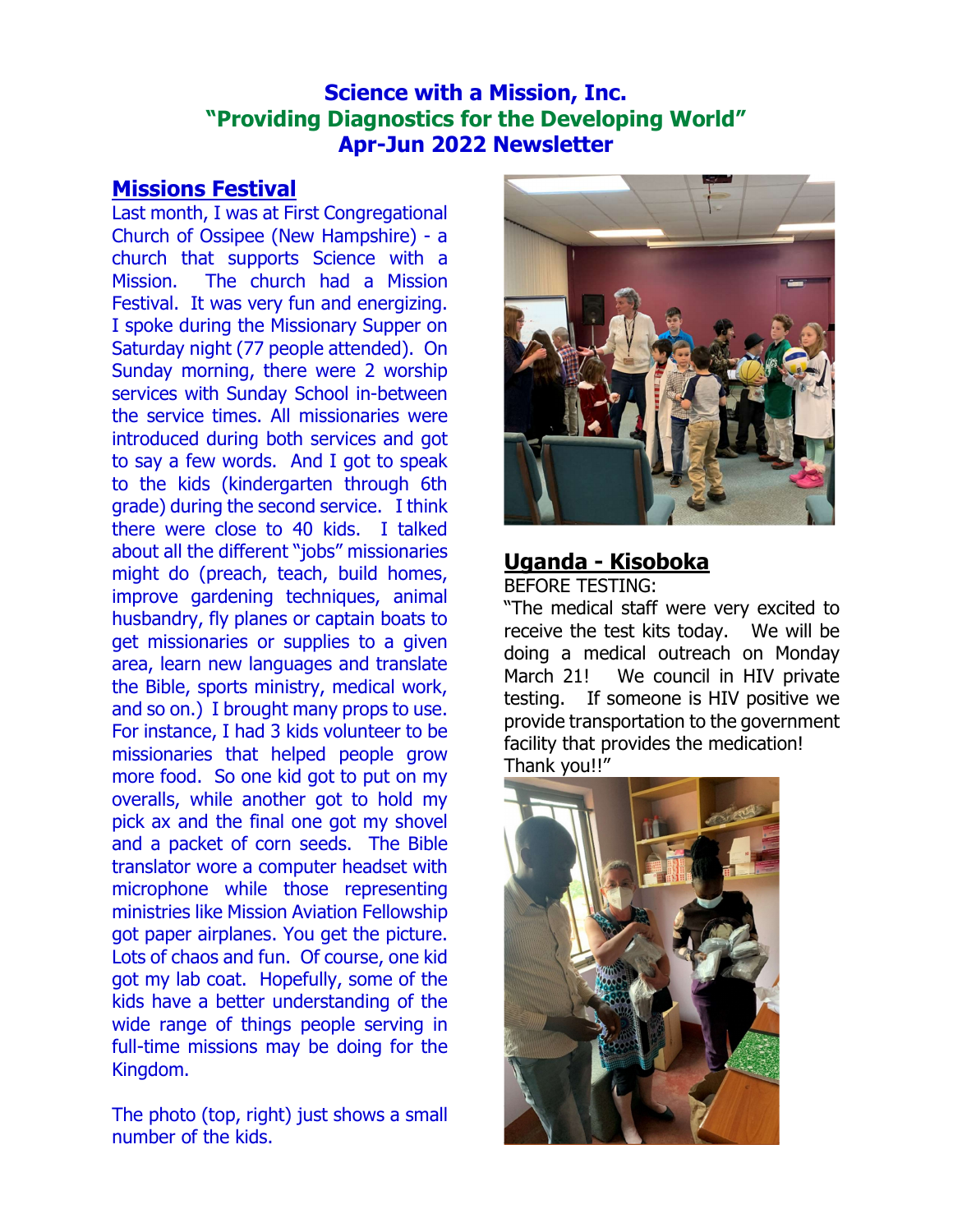## Science with a Mission, Inc. "Providing Diagnostics for the Developing World" Apr-Jun 2022 Newsletter

### Missions Festival

Last month, I was at First Congregational Church of Ossipee (New Hampshire) - a church that supports Science with a Mission. The church had a Mission Festival. It was very fun and energizing. I spoke during the Missionary Supper on Saturday night (77 people attended). On Sunday morning, there were 2 worship services with Sunday School in-between the service times. All missionaries were introduced during both services and got to say a few words. And I got to speak to the kids (kindergarten through 6th grade) during the second service. I think there were close to 40 kids. I talked about all the different "jobs" missionaries might do (preach, teach, build homes, improve gardening techniques, animal husbandry, fly planes or captain boats to get missionaries or supplies to a given area, learn new languages and translate the Bible, sports ministry, medical work, and so on.) I brought many props to use. For instance, I had 3 kids volunteer to be missionaries that helped people grow more food. So one kid got to put on my overalls, while another got to hold my pick ax and the final one got my shovel and a packet of corn seeds. The Bible translator wore a computer headset with microphone while those representing ministries like Mission Aviation Fellowship got paper airplanes. You get the picture. Lots of chaos and fun. Of course, one kid got my lab coat. Hopefully, some of the kids have a better understanding of the wide range of things people serving in full-time missions may be doing for the Kingdom.

The photo (top, right) just shows a small number of the kids.



# Uganda - Kisoboka

BEFORE TESTING:

"The medical staff were very excited to receive the test kits today. We will be doing a medical outreach on Monday March 21! We council in HIV private testing. If someone is HIV positive we provide transportation to the government facility that provides the medication! Thank you!!"